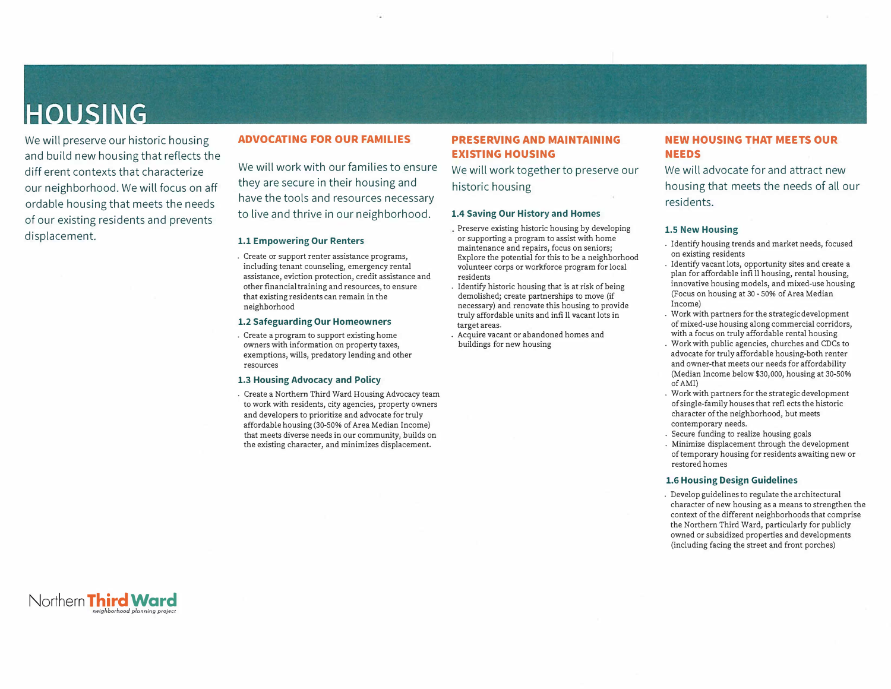## **HOUSING**

We will preserve our historic housing and build new housing that reflects the diff erent contexts that characterize our neighborhood. We will focus on aff ordable housing that meets the needs of our existing residents and prevents displacement.

### **ADVOCATING FOR OUR FAMILIES**

We will work with our families to ensure they are secure in their housing and have the tools and resources necessary to live and thrive in our neighborhood.

#### **1.1 Empowering Our Renters**

. Create or support renter assistance programs, including tenant counseling, emergency rental assistance, eviction protection, credit assistance and other financial training and resources, to ensure that existing residents can remain in the neighborhood

#### **1.2 Safeguarding Our Homeowners**

. Create a program to support existing home owners with information on property taxes, exemptions, wills, predatory lending and other resources

#### **1.3 Housing Advocacy and Policy**

. Create a Northern Third Ward Housing Advocacy team to work with residents, city agencies, property owners and developers to prioritize and advocate for truly affordable housing (30-50% of Area Median Income) that meets diverse needs in our community, builds on the existing character, and minimizes displacement.

## **PRESERVING AND MAINTAINING EXISTING HOUSING**

We will work together to preserve our historic housing

#### **1.4 Saving Our History and Homes**

- Preserve existing historic housing by developing or supporting a program to assist with home maintenance and repairs, focus on seniors; Explore the potential for this to be a neighborhood volunteer corps or workforce program for local residents
- . Identify historic housing that is at risk of being demolished; create partnerships to move (if necessary) and renovate this housing to provide truly affordable units and infi 11 vacant lots in target areas.
- . Acquire vacant or abandoned homes and buildings for new housing

## **NEW HOUSING THAT MEETS OUR NEEDS**

We will advocate for and attract new housing that meets the needs of all our residents.

#### **1.5 New Housing**

- . Identify housing trends and market needs, focused on existing residents
- . Identify vacant lots, opportunity sites and create a plan for affordable infi 11 housing, rental housing, innovative housing models, and mixed-use housing (Focus on housing at 30 - 50% of Area Median Income)
- . Work with partners for the strategic development of mixed-use housing along commercial corridors, with a focus on truly affordable rental housing
- . Work with public agencies, churches and CDCs to advocate for truly affordable housing-both renter and owner-that meets our needs for affordability (Median Income below \$30,000, housing at 30-50% of AMI)
- . Work with partners for the strategic development of single-family houses that refl ects the historic character of the neighborhood, but meets contemporary needs.
- . Secure funding to realize housing goals
- . Minimize displacement through the development of temporary housing for residents awaiting new or restored homes

#### **1.6 Housing Design Guidelines**

. Develop guidelines to regulate the architectural character of new housing as a means to strengthen the context of the different neighborhoods that comprise the Northern Third Ward, particularly for publicly owned or subsidized properties and developments (including facing the street and front porches)

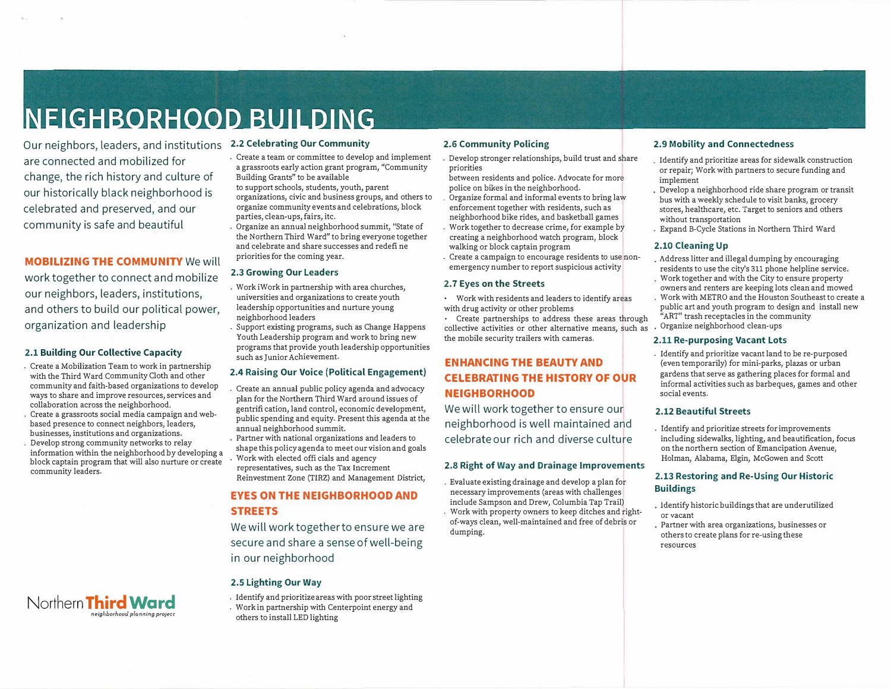# **NEIGHBORHOOD BUILDING**

Our neighbors, leaders, and institutions **2.2 Celebrating Our Community**  are connected and mobilized for change, the rich history and culture of our historically black neighborhood is celebrated and preserved, and our community is safe and beautiful

### **MOBILIZING THE COMMUNITY** We will

work together to connect and mobilize our neighbors, leaders, institutions, and others to build our political power, organization and leadership

#### **2.1 Building Our Collective Capacity**

- . Create a Mobilization Team to work in partnership with the Third Ward Community Cloth and other community and faith-based organizations to develop ways to share and improve resources, services and collaboration across the neighborhood.
- Create a grassroots social media campaign and webbased presence to connect neighbors, leaders, businesses, institutions and organizations.
- Develop strong community networks to relay information within the neighborhood by developing a block captain program that will also nurture or create community leaders.

- . Create a team or committee to develop and implement a grassroots early action grant program, "Community Building Grants" to be available
- to support schools, students, youth, parent
- organizations, civic and business groups, and others to organize community events and celebrations, block parties, clean-ups, fairs, itc.
- . Organize an annual neighborhood summit, "State of the Northern Third Ward" to bring everyone together and celebrate and share successes and redefi ne priorities for the coming year.

#### **2.3 Growing Our Leaders**

- . Work iWork in partnership with area churches, universities and organizations to create youth leadership opportunities and nurture young neighborhood leaders
- . Support existing programs, such as Change Happens Youth Leadership program and work to bring new programs that provide youth leadership opportunities such as Junior Achievement.

#### **2.4 Raising Our Voice (Political Engagement)**

- . Create an annual public policy agenda and advocacy plan for the Northern Third Ward around issues of gentrifi cation, land control, economic development, public spending and equity. Present this agenda at the annual neighborhood summit.
- . Partner with national organizations and leaders to shape this policy agenda to meet our vision and goals . Work with elected offi cials and agency
- representatives, such as the Tax Increment Reinvestment Zone (TIRZ) and Management District,

## **EYES ON THE NEIGHBORHOOD AND STREETS**

We will work togetherto ensure we are

secure and share a sense of well-being in our neighborhood

#### **2.5 Lighting Our Way**

- . Identify and prioritizeareas with poorstreet lighting
- . Work in partnership with Centerpoint energy and others to install LED lighting

#### **2.6 Community Policing**

. Develop stronger relationships, build trust and share priorities

- between residents and police. Advocate for more police on bikes in the neighborhood.
- Organize formal and informal events to bring law enforcement together with residents, such as neighborhood bike rides, and basketball games . Work together to decrease crime, for example by creating a neighborhood watch program, block
- walking or block captain program . Create a campaign to encourage residents to use non-
- emergency number to report suspicious activity

#### **2. 7 Eyes on the Streets**

- Work with residents and leaders to identify areas with drug activity or other problems
- Create partnerships to address these areas through collective activities or other alternative means, such as the mobile security trailers with cameras.

## **ENHANCING THE BEAUTY AND CELEBRATING THE HISTORY OF OUR NEIGHBORHOOD**

We will work together to ensure our neighborhood is well maintained and celebrateour rich and diverse culture

#### **2.8 Right of Way and Drainage Improvements**

Evaluate existing drainage and develop a plan for necessary improvements (areas with challenges include Sampson and Drew, Columbia Tap Trail) . Work with property owners to keep ditches and rightof-ways clean, well-maintained and free of debris or dumping.

#### **2.9 Mobility and Connectedness**

- Identify and prioritize areas for sidewalk construction or repair; Work with partners to secure funding and implement
- Develop a neighborhood ride share program or transit bus with a weekly schedule to visit banks, grocery stores, healthcare, etc. Target to seniors and others without transportation
- . Expand B-Cycle Stations in Northern Third Ward

#### **2.10 Cleaning Up**

- Address litter and illegal dumping by encouraging residents to use the city's 311 phone helpline service.
- Work together and with the City to ensure property owners and renters are keeping lots clean and mowed
- Work with METRO and the Houston Southeast to create a public art and youth program to design and install new "ART" trash receptacles in the community
- Organize neighborhood clean-ups

## **2.11 Re-purposing Vacant Lots**

. Identify and prioritize vacant land to be re-purposed (even temporarily) for mini-parks, plazas or urban gardens that serve as gathering places for formal and informal activities such as barbeques, games and other social events.

#### **2.12 Beautiful Streets**

. Identify and prioritize streets forimprovements including sidewalks, lighting, and beautification, focus on the northern section of Emancipation Avenue, Holman, Alabama, Elgin, McGowen and Scott

#### **2.13 Restoring and Re-Using Our Historic Buildings**

- Identify historic buildings that are underutilized **or vacant**
- Partner with area organizations, businesses or others to create plans for re-using these **resources**

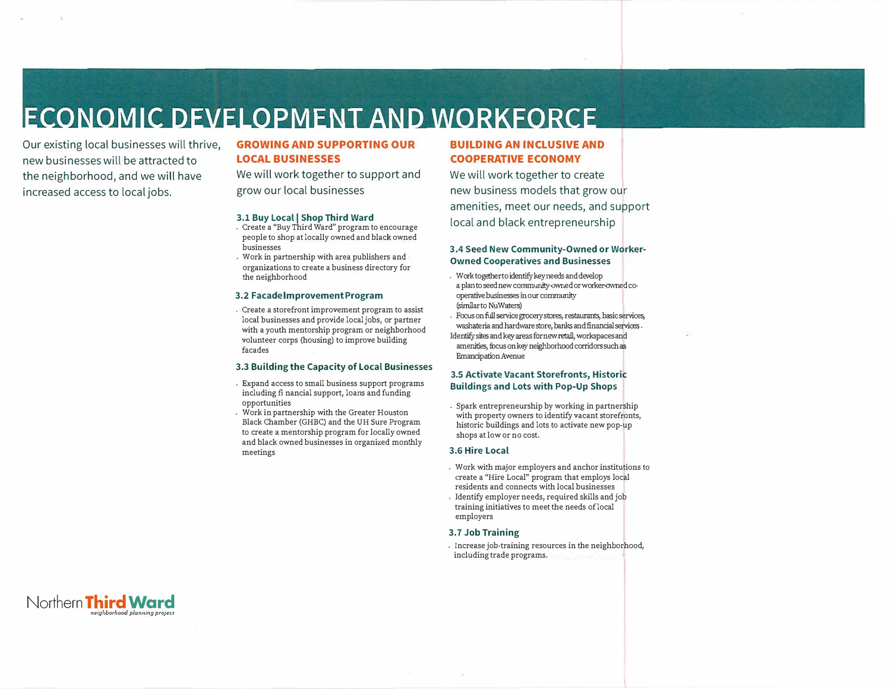## **ECONOMIC DEVELOPMENT AND WORKFORCE**

Our existing local businesses will thrive, new businesses will be attracted to the neighborhood, and we will have increased access to local jobs.

### **GROWING AND SUPPORTING OUR LOCAL BUSINESSES**

## We will work together to support and grow our local businesses

#### **3.1 Buy Local I Shop Third Ward**

- . Create a "Buy Third Ward" program to encourage people to shop at locally owned and black owned businesses
- . Work in partnership with area publishers and organizations to create a business directory for the neighborhood

#### **3.2 FacadelmprovementProgram**

. Create a storefront improvement program to assist local businesses and provide local jobs, or partner with a youth mentorship program or neighborhood volunteer corps (housing) to improve building facades

#### **3.3 Building the Capacity of Local Businesses**

- . Expand access to small business support programs including fi nancial support, loans and funding opportunities
- . Work in partnership with the Greater Houston Black Chamber (GHBC) and the UH Sure Program to create a mentorship program for locally owned and black owned businesses in organized monthly meetings

## **BUILDING AN INCLUSIVE AND COOPERATIVE ECONOMY**

We will work together to create new business models that grow our amenities, meet our needs, and support local and black entrepreneurship

#### **3.4 Seed New Community-Owned or Worker-Owned Cooperatives and Businesses**

- . Work together to identify key needs and develop a plan to seed new community-owned or worker-owned cooperative businesses in our community (similarto Nu Waters)
- Identify sites and key areas fornew retail, workspaces and . Focus onfull service grocery stores, restaurants, basic services, washateria and hardware store, banks andfinancial services .
- amenities, focus on key neighborhood corridors such as Emancipation Avenue

#### **3.5 Activate Vacant Storefronts, Historic Buildings and Lots with Pop-Up Shops**

. Spark entrepreneurship by working in partnership with property owners to identify vacant storefronts, historic buildings and lots to activate new pop-up shops at low or no cost.

#### **3.6 Hire Local**

- . Work with major employers and anchor institutions to create a "Hire Local" program that employs local residents and connects with local businesses
- . Identify employer needs, required skills and job training initiatives to meet the needs of local employers

#### **3.7 Job Training**

. Increase job-training resources in the neighborhood, including trade programs.

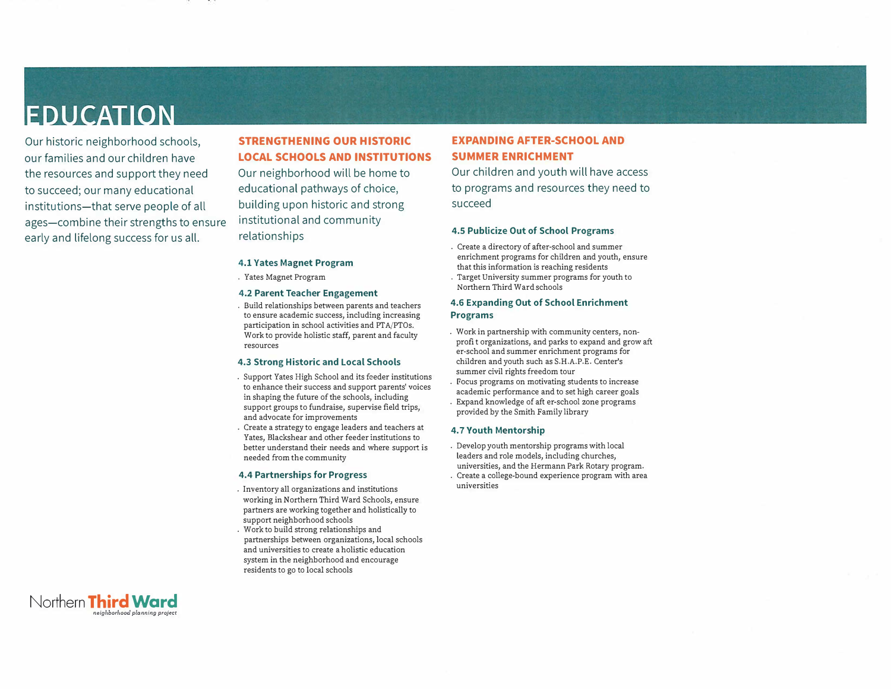## **EDUCATION**

Our historic neighborhood schools, our families and our children have the resources and support they need to succeed; our many educational institutions-that serve people of all ages-combine their strengths to ensure early and lifelong success for us all.

## **STRENGTHENING OUR HISTORIC LOCAL SCHOOLS AND INSTITUTIONS**

Our neighborhood will be home to educational pathways of choice, building upon historic and strong institutional and community relationships

#### **4.1 Vates Magnet Program**

. Yates Magnet Program

#### **4.2 Parent Teacher Engagement**

. Build relationships between parents and teachers to ensure academic success, including increasing participation in school activities and PTA/PTOs. Work to provide holistic staff, parent and faculty resources

#### **4.3 Strong Historic and Local Schools**

- . Support Yates High School and its feeder institutions to enhance their success and support parents' voices in shaping the future of the schools, including support groups to fundraise, supervise field trips, and advocate for improvements
- . Create a strategy to engage leaders and teachers at Yates, Blackshear and other feeder institutions to better understand their needs and where support is needed from the community

#### **4.4 Partnerships for Progress**

- . Inventory all organizations and institutions working in Northern Third Ward Schools, ensure partners are working together and holistically to support neighborhood schools . Work to build strong relationships and
- partnerships between organizations, local schools and universities to create a holistic education system in the neighborhood and encourage residents to go to local schools

## **EXPANDING AFTER-SCHOOL AND SUMMER ENRICHMENT**

Our children and youth will have access to programs and resources they need to succeed

#### **4.5 Publicize Out of School Programs**

- . Create a directory of after-school and summer enrichment programs for children and youth, ensure that this information is reaching residents
- . Target University summer programs for youth to Northern Third Ward schools

#### **4.6 Expanding Out of School Enrichment Programs**

- . Work in partnership with community centers, nonprofit organizations, and parks to expand and grow aft er-school and summer enrichment programs for children and youth such as S.H.A.P.E. Center's summer civil rights freedom tour
- . Focus programs on motivating students to increase academic performance and to set high career goals . Expand knowledge of aft er-school zone programs provided by the Smith Family library

#### **4. 7 Youth Mentorship**

- . Develop youth mentorship programs with local leaders and role models, including churches, universities, and the Hermann Park Rotary program.
- . Create a college-bound experience program with area universities